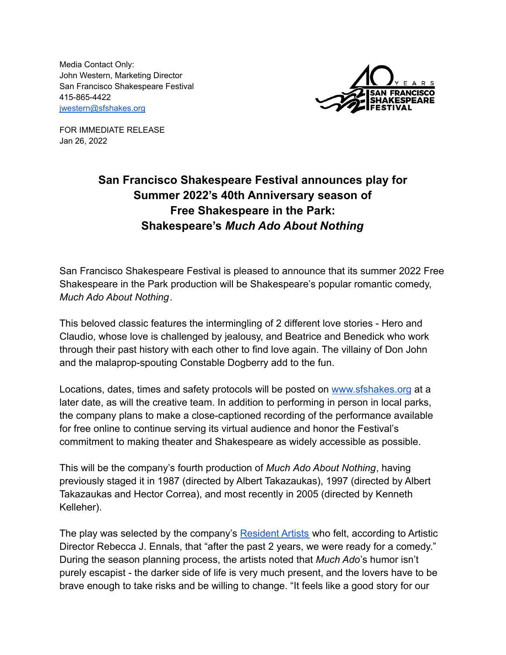Media Contact Only: John Western, Marketing Director San Francisco Shakespeare Festival 415-865-4422 [jwestern@sfshakes.org](mailto:jwestern@sfshakes.org)



FOR IMMEDIATE RELEASE Jan 26, 2022

## **San Francisco Shakespeare Festival announces play for Summer 2022's 40th Anniversary season of Free Shakespeare in the Park: Shakespeare's** *Much Ado About Nothing*

San Francisco Shakespeare Festival is pleased to announce that its summer 2022 Free Shakespeare in the Park production will be Shakespeare's popular romantic comedy, *Much Ado About Nothing*.

This beloved classic features the intermingling of 2 different love stories - Hero and Claudio, whose love is challenged by jealousy, and Beatrice and Benedick who work through their past history with each other to find love again. The villainy of Don John and the malaprop-spouting Constable Dogberry add to the fun.

Locations, dates, times and safety protocols will be posted on [www.sfshakes.org](http://www.sfshakes.org) at a later date, as will the creative team. In addition to performing in person in local parks, the company plans to make a close-captioned recording of the performance available for free online to continue serving its virtual audience and honor the Festival's commitment to making theater and Shakespeare as widely accessible as possible.

This will be the company's fourth production of *Much Ado About Nothing*, having previously staged it in 1987 (directed by Albert Takazaukas), 1997 (directed by Albert Takazaukas and Hector Correa), and most recently in 2005 (directed by Kenneth Kelleher).

The play was selected by the company's [Resident Artists](http://www.sfshakes.org/about-us/resident-artist-company) who felt, according to Artistic Director Rebecca J. Ennals, that "after the past 2 years, we were ready for a comedy." During the season planning process, the artists noted that *Much Ado*'s humor isn't purely escapist - the darker side of life is very much present, and the lovers have to be brave enough to take risks and be willing to change. "It feels like a good story for our